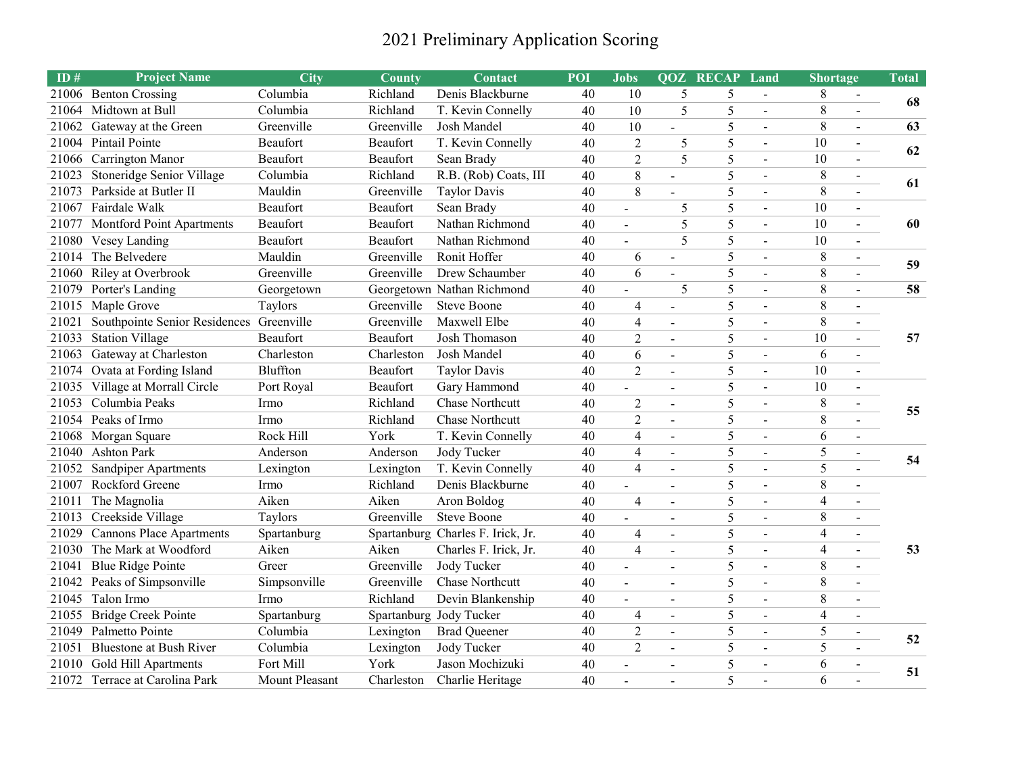## 2021 Preliminary Application Scoring

| ID#   | <b>Project Name</b>                      | <b>City</b>                    | County     | Contact                           | POI | <b>Jobs</b>              |                          | <b>QOZ RECAP</b> | Land                     | <b>Shortage</b>          |                   | Total |  |  |
|-------|------------------------------------------|--------------------------------|------------|-----------------------------------|-----|--------------------------|--------------------------|------------------|--------------------------|--------------------------|-------------------|-------|--|--|
| 21006 | <b>Benton Crossing</b>                   | Columbia                       | Richland   | Denis Blackburne                  | 40  | 10                       | 5                        | 5                | $\blacksquare$           | 8                        | $\blacksquare$    | 68    |  |  |
| 21064 | Midtown at Bull                          | Columbia                       | Richland   | T. Kevin Connelly                 | 40  | 10                       | 5                        | 5                | $\overline{a}$           | 8                        |                   |       |  |  |
| 21062 | Gateway at the Green                     | Greenville                     | Greenville | Josh Mandel                       | 40  | 10                       | $\blacksquare$           | 5                | $\blacksquare$           | 8                        | $\blacksquare$    | 63    |  |  |
| 21004 | Pintail Pointe                           | Beaufort                       | Beaufort   | T. Kevin Connelly                 | 40  | $\overline{2}$           | 5                        | 5                | $\blacksquare$           | 10                       | $\blacksquare$    | 62    |  |  |
| 21066 | Carrington Manor                         | Beaufort                       | Beaufort   | Sean Brady                        | 40  | $\overline{2}$           | 5                        | 5                | $\blacksquare$           | 10                       |                   |       |  |  |
| 21023 | Stoneridge Senior Village                | Columbia                       | Richland   | R.B. (Rob) Coats, III             | 40  | 8                        | $\blacksquare$           | 5                | $\blacksquare$           | 8                        | $\blacksquare$    | 61    |  |  |
| 21073 | Parkside at Butler II                    | Mauldin                        | Greenville | <b>Taylor Davis</b>               | 40  | 8                        |                          | 5                | $\blacksquare$           | 8                        |                   |       |  |  |
| 21067 | Fairdale Walk                            | Beaufort                       | Beaufort   | Sean Brady                        | 40  | $\blacksquare$           | 5                        | 5                | $\overline{a}$           | 10                       | $\blacksquare$    |       |  |  |
| 21077 | Montford Point Apartments                | Beaufort                       | Beaufort   | Nathan Richmond                   | 40  | $\blacksquare$           | 5                        | 5                | $\overline{a}$           | 10                       | $\blacksquare$    | 60    |  |  |
| 21080 | Vesey Landing                            | Beaufort                       | Beaufort   | Nathan Richmond                   | 40  | $\overline{a}$           | 5                        | 5                | $\overline{a}$           | 10                       | $\blacksquare$    |       |  |  |
| 21014 | The Belvedere                            | Mauldin                        | Greenville | Ronit Hoffer                      | 40  | 6                        | $\equiv$                 | 5                |                          | 8                        | $\blacksquare$    | 59    |  |  |
| 21060 | Riley at Overbrook                       | Greenville                     | Greenville | Drew Schaumber                    | 40  | 6                        |                          | 5                | $\overline{a}$           | 8                        |                   |       |  |  |
| 21079 | Porter's Landing                         | Georgetown                     |            | Georgetown Nathan Richmond        | 40  | $\overline{a}$           | 5                        | 5                | $\overline{a}$           | 8                        | $\mathbf{r}$      | 58    |  |  |
| 21015 | Maple Grove                              | Taylors                        | Greenville | <b>Steve Boone</b>                | 40  | $\overline{4}$           | $\overline{\phantom{a}}$ | 5                | $\overline{a}$           | 8                        | $\sim$            | 57    |  |  |
| 21021 | Southpointe Senior Residences Greenville |                                | Greenville | Maxwell Elbe                      | 40  | $\overline{\mathcal{A}}$ | $\blacksquare$           | 5                | $\overline{a}$           | 8                        | $\blacksquare$    |       |  |  |
| 21033 | <b>Station Village</b>                   | Beaufort                       | Beaufort   | Josh Thomason                     | 40  | $\overline{2}$           | $\sim$                   | 5                | $\overline{\phantom{a}}$ | 10                       | $\overline{a}$    |       |  |  |
| 21063 | Gateway at Charleston                    | $\overline{\text{Charleston}}$ | Charleston | Josh Mandel                       | 40  | 6                        | $\blacksquare$           | 5                | $\blacksquare$           | 6                        | $\overline{a}$    |       |  |  |
|       | 21074 Ovata at Fording Island            | Bluffton                       | Beaufort   | <b>Taylor Davis</b>               | 40  | $\overline{2}$           | $\blacksquare$           | 5                | $\overline{\phantom{a}}$ | 10                       | $\blacksquare$    |       |  |  |
|       | 21035 Village at Morrall Circle          | Port Royal                     | Beaufort   | Gary Hammond                      | 40  | $\blacksquare$           | $\overline{\phantom{a}}$ | 5                | $\overline{\phantom{a}}$ | 10                       | $\blacksquare$    |       |  |  |
| 21053 | Columbia Peaks                           | Irmo                           | Richland   | <b>Chase Northcutt</b>            | 40  | $\mathbf{2}$             | $\blacksquare$           | 5                | $\blacksquare$           | 8                        |                   | 55    |  |  |
|       | 21054 Peaks of Irmo                      | Irmo                           | Richland   | <b>Chase Northcutt</b>            | 40  | $\overline{2}$           | $\blacksquare$           | 5                | $\overline{a}$           | 8                        |                   |       |  |  |
| 21068 | Morgan Square                            | Rock Hill                      | York       | T. Kevin Connelly                 | 40  | $\overline{4}$           | $\blacksquare$           | 5                | $\overline{a}$           | $\overline{6}$           | $\overline{a}$    |       |  |  |
| 21040 | <b>Ashton Park</b>                       | Anderson                       | Anderson   | Jody Tucker                       | 40  | $\overline{4}$           | $\blacksquare$           | 5                | $\overline{a}$           | $\overline{5}$           | $\mathbb{L}$      | 54    |  |  |
| 21052 | Sandpiper Apartments                     | Lexington                      | Lexington  | T. Kevin Connelly                 | 40  | $\overline{\mathbf{4}}$  |                          | 5                | $\overline{a}$           | $\overline{5}$           |                   |       |  |  |
|       | 21007 Rockford Greene                    | Irmo                           | Richland   | Denis Blackburne                  | 40  | $\sim$                   |                          | 5                | $\overline{a}$           | 8                        | $\overline{a}$    |       |  |  |
| 21011 | The Magnolia                             | Aiken                          | Aiken      | Aron Boldog                       | 40  | $\overline{4}$           | $\blacksquare$           | 5                | $\mathbf{r}$             | $\overline{\mathbf{4}}$  | $\overline{a}$    |       |  |  |
|       | 21013 Creekside Village                  | Taylors                        | Greenville | <b>Steve Boone</b>                | 40  | $\overline{a}$           | $\blacksquare$           | 5                | $\blacksquare$           | 8                        | $\sim$            |       |  |  |
| 21029 | <b>Cannons Place Apartments</b>          | Spartanburg                    |            | Spartanburg Charles F. Irick, Jr. | 40  | $\overline{4}$           | $\sim$                   | 5                | $\overline{a}$           | $\overline{\mathbf{4}}$  | $\sim$            |       |  |  |
| 21030 | The Mark at Woodford                     | Aiken                          | Aiken      | Charles F. Irick, Jr.             | 40  | $\overline{4}$           | $\blacksquare$           | 5                | $\blacksquare$           | $\overline{\mathcal{A}}$ | $\overline{a}$    | 53    |  |  |
| 21041 | <b>Blue Ridge Pointe</b>                 | Greer                          | Greenville | Jody Tucker                       | 40  | $\blacksquare$           | $\sim$                   | 5                | $\blacksquare$           | 8                        | $\sim$            |       |  |  |
| 21042 | Peaks of Simpsonville                    | Simpsonville                   | Greenville | Chase Northcutt                   | 40  | $\blacksquare$           | $\sim$                   | 5                | $\blacksquare$           | 8                        |                   |       |  |  |
| 21045 | Talon Irmo                               | Irmo                           | Richland   | Devin Blankenship                 | 40  | $\sim$                   | $\blacksquare$           | 5                | $\blacksquare$           | 8                        |                   |       |  |  |
| 21055 | <b>Bridge Creek Pointe</b>               | Spartanburg                    |            | Spartanburg Jody Tucker           | 40  | 4                        | $\overline{\phantom{a}}$ | 5                | $\blacksquare$           | $\overline{4}$           |                   |       |  |  |
| 21049 | Palmetto Pointe                          | Columbia                       | Lexington  | <b>Brad Queener</b>               | 40  | $\overline{2}$           | $\overline{\phantom{a}}$ | 5                | $\overline{a}$           | 5                        | $\qquad \qquad -$ | 52    |  |  |
| 21051 | <b>Bluestone at Bush River</b>           | Columbia                       | Lexington  | Jody Tucker                       | 40  | $\overline{2}$           | $\overline{a}$           | 5                | $\blacksquare$           | 5                        |                   |       |  |  |
| 21010 | Gold Hill Apartments                     | Fort Mill                      | York       | Jason Mochizuki                   | 40  | $\frac{1}{2}$            | $\blacksquare$           | 5                | $\blacksquare$           | 6                        |                   | 51    |  |  |
|       | 21072 Terrace at Carolina Park           | Mount Pleasant                 | Charleston | Charlie Heritage                  | 40  |                          |                          | 5                |                          | 6                        |                   |       |  |  |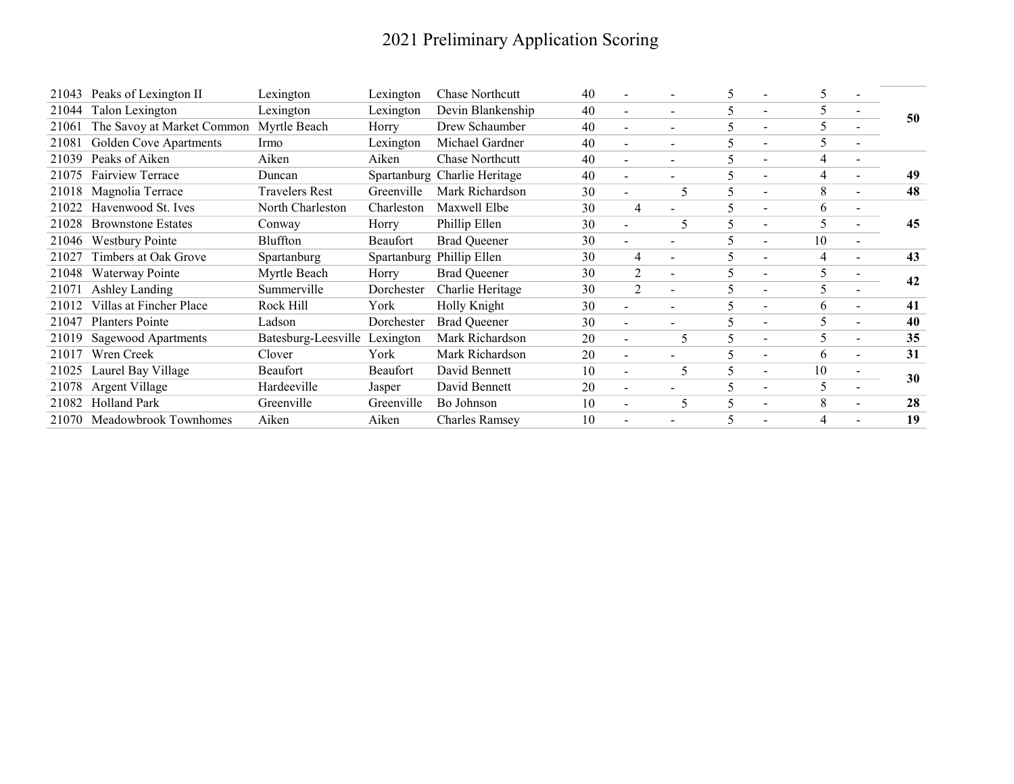## 2021 Preliminary Application Scoring

| 21043 | Peaks of Lexington II       | Lexington                     | Lexington  | <b>Chase Northcutt</b>       | 40 |                          |                | C |                          | 5.             |                          |    |
|-------|-----------------------------|-------------------------------|------------|------------------------------|----|--------------------------|----------------|---|--------------------------|----------------|--------------------------|----|
| 21044 | Talon Lexington             | Lexington                     | Lexington  | Devin Blankenship            | 40 | $\blacksquare$           |                | 5 | $\overline{\phantom{a}}$ | 5              |                          | 50 |
| 21061 | The Savoy at Market Common  | Myrtle Beach                  | Horry      | Drew Schaumber               | 40 | $\overline{\phantom{0}}$ |                | 5 | $\overline{\phantom{a}}$ | 5              |                          |    |
| 21081 | Golden Cove Apartments      | Irmo                          | Lexington  | Michael Gardner              | 40 | $\overline{\phantom{a}}$ |                | 5 |                          | 5              |                          |    |
| 21039 | Peaks of Aiken              | Aiken                         | Aiken      | <b>Chase Northcutt</b>       | 40 | $\overline{\phantom{0}}$ | ۰              | 5 | $\overline{\phantom{a}}$ | 4              |                          |    |
| 21075 | Fairview Terrace            | Duncan                        |            | Spartanburg Charlie Heritage | 40 | $\overline{\phantom{0}}$ |                | ∍ |                          | $\overline{4}$ |                          | 49 |
| 21018 | Magnolia Terrace            | <b>Travelers Rest</b>         | Greenville | Mark Richardson              | 30 |                          | 5              | C |                          | 8              |                          | 48 |
| 21022 | Havenwood St. Ives          | North Charleston              | Charleston | Maxwell Elbe                 | 30 | $\overline{4}$           |                | ∍ |                          | 6              |                          |    |
| 21028 | <b>Brownstone Estates</b>   | Conway                        | Horry      | Phillip Ellen                | 30 | $\overline{\phantom{0}}$ | 5              | 5 | $\overline{\phantom{a}}$ | 5              |                          | 45 |
| 21046 | Westbury Pointe             | Bluffton                      | Beaufort   | <b>Brad Queener</b>          | 30 | $\overline{\phantom{0}}$ |                | 5 |                          | 10             | Ξ.                       |    |
| 21027 | Timbers at Oak Grove        | Spartanburg                   |            | Spartanburg Phillip Ellen    | 30 | 4                        |                | 5 |                          | $\overline{4}$ |                          | 43 |
| 21048 | Waterway Pointe             | Myrtle Beach                  | Horry      | <b>Brad Queener</b>          | 30 | $\overline{2}$           | $\blacksquare$ | 5 |                          | 5              | $\overline{\phantom{0}}$ | 42 |
| 21071 | Ashley Landing              | Summerville                   | Dorchester | Charlie Heritage             | 30 | $\overline{2}$           |                | 5 |                          | 5              |                          |    |
| 21012 | Villas at Fincher Place     | Rock Hill                     | York       | Holly Knight                 | 30 | $\overline{\phantom{0}}$ |                | 5 |                          | 6              | $\overline{\phantom{0}}$ | 41 |
| 21047 | <b>Planters Pointe</b>      | Ladson                        | Dorchester | <b>Brad Queener</b>          | 30 |                          |                | 5 |                          | 5              | $\overline{\phantom{0}}$ | 40 |
| 21019 | <b>Sagewood Apartments</b>  | Batesburg-Leesville Lexington |            | Mark Richardson              | 20 | $\overline{\phantom{a}}$ | 5              | 5 | $\overline{\phantom{a}}$ | 5              | $\overline{\phantom{0}}$ | 35 |
| 21017 | Wren Creek                  | Clover                        | York       | Mark Richardson              | 20 | $\blacksquare$           |                |   |                          | 6              | $\blacksquare$           | 31 |
| 21025 | Laurel Bay Village          | Beaufort                      | Beaufort   | David Bennett                | 10 | $\blacksquare$           | 5              | 5 | $\overline{\phantom{a}}$ | 10             | -                        | 30 |
| 21078 | Argent Village              | Hardeeville                   | Jasper     | David Bennett                | 20 | $\overline{\phantom{0}}$ |                |   |                          | 5              |                          |    |
| 21082 | Holland Park                | Greenville                    | Greenville | Bo Johnson                   | 10 |                          | 5              |   |                          | 8              |                          | 28 |
|       | 21070 Meadowbrook Townhomes | Aiken                         | Aiken      | <b>Charles Ramsey</b>        | 10 |                          |                | ∍ |                          | 4              |                          | 19 |